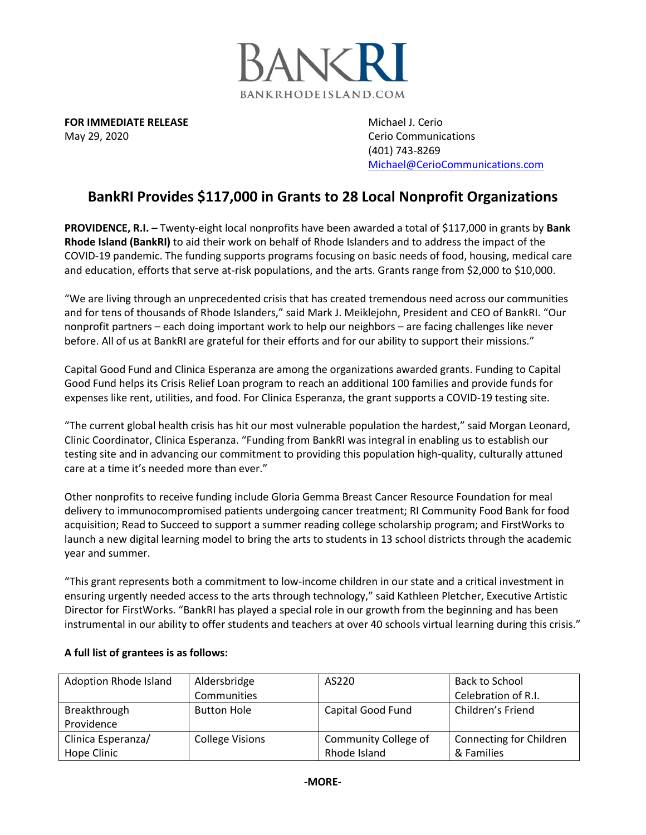

**FOR IMMEDIATE RELEASE Michael J. Cerio Michael J. Cerio** May 29, 2020 Cerio Communications

(401) 743-8269 [Michael@CerioCommunications.com](mailto:Michael@CerioCommunications.com)

## **BankRI Provides \$117,000 in Grants to 28 Local Nonprofit Organizations**

**PROVIDENCE, R.I. –** Twenty-eight local nonprofits have been awarded a total of \$117,000 in grants by **Bank Rhode Island (BankRI)** to aid their work on behalf of Rhode Islanders and to address the impact of the COVID-19 pandemic. The funding supports programs focusing on basic needs of food, housing, medical care and education, efforts that serve at-risk populations, and the arts. Grants range from \$2,000 to \$10,000.

"We are living through an unprecedented crisis that has created tremendous need across our communities and for tens of thousands of Rhode Islanders," said Mark J. Meiklejohn, President and CEO of BankRI. "Our nonprofit partners – each doing important work to help our neighbors – are facing challenges like never before. All of us at BankRI are grateful for their efforts and for our ability to support their missions."

Capital Good Fund and Clinica Esperanza are among the organizations awarded grants. Funding to Capital Good Fund helps its Crisis Relief Loan program to reach an additional 100 families and provide funds for expenses like rent, utilities, and food. For Clinica Esperanza, the grant supports a COVID-19 testing site.

"The current global health crisis has hit our most vulnerable population the hardest," said Morgan Leonard, Clinic Coordinator, Clinica Esperanza. "Funding from BankRI was integral in enabling us to establish our testing site and in advancing our commitment to providing this population high-quality, culturally attuned care at a time it's needed more than ever."

Other nonprofits to receive funding include Gloria Gemma Breast Cancer Resource Foundation for meal delivery to immunocompromised patients undergoing cancer treatment; RI Community Food Bank for food acquisition; Read to Succeed to support a summer reading college scholarship program; and FirstWorks to launch a new digital learning model to bring the arts to students in 13 school districts through the academic year and summer.

"This grant represents both a commitment to low-income children in our state and a critical investment in ensuring urgently needed access to the arts through technology," said Kathleen Pletcher, Executive Artistic Director for FirstWorks. "BankRI has played a special role in our growth from the beginning and has been instrumental in our ability to offer students and teachers at over 40 schools virtual learning during this crisis."

| Adoption Rhode Island | Aldersbridge           | AS220                | Back to School          |
|-----------------------|------------------------|----------------------|-------------------------|
|                       | Communities            |                      | Celebration of R.I.     |
| Breakthrough          | <b>Button Hole</b>     | Capital Good Fund    | Children's Friend       |
| Providence            |                        |                      |                         |
| Clinica Esperanza/    | <b>College Visions</b> | Community College of | Connecting for Children |
| Hope Clinic           |                        | Rhode Island         | & Families              |

## **A full list of grantees is as follows:**